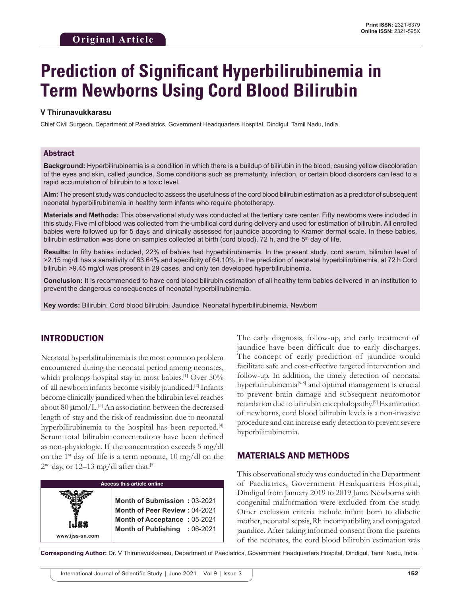# **Prediction of Significant Hyperbilirubinemia in Term Newborns Using Cord Blood Bilirubin**

#### **V Thirunavukkarasu**

Chief Civil Surgeon, Department of Paediatrics, Government Headquarters Hospital, Dindigul, Tamil Nadu, India

#### Abstract

**Background:** Hyperbilirubinemia is a condition in which there is a buildup of bilirubin in the blood, causing yellow discoloration of the eyes and skin, called jaundice. Some conditions such as prematurity, infection, or certain blood disorders can lead to a rapid accumulation of bilirubin to a toxic level.

**Aim:** The present study was conducted to assess the usefulness of the cord blood bilirubin estimation as a predictor of subsequent neonatal hyperbilirubinemia in healthy term infants who require phototherapy.

**Materials and Methods:** This observational study was conducted at the tertiary care center. Fifty newborns were included in this study. Five ml of blood was collected from the umbilical cord during delivery and used for estimation of bilirubin. All enrolled babies were followed up for 5 days and clinically assessed for jaundice according to Kramer dermal scale. In these babies, bilirubin estimation was done on samples collected at birth (cord blood), 72 h, and the 5<sup>th</sup> day of life.

**Results:** In fifty babies included, 22% of babies had hyperbilirubinemia. In the present study, cord serum, bilirubin level of >2.15 mg/dl has a sensitivity of 63.64% and specificity of 64.10%, in the prediction of neonatal hyperbilirubinemia, at 72 h Cord bilirubin >9.45 mg/dl was present in 29 cases, and only ten developed hyperbilirubinemia.

**Conclusion:** It is recommended to have cord blood bilirubin estimation of all healthy term babies delivered in an institution to prevent the dangerous consequences of neonatal hyperbilirubinemia.

**Key words:** Bilirubin, Cord blood bilirubin, Jaundice, Neonatal hyperbilirubinemia, Newborn

# INTRODUCTION

Neonatal hyperbilirubinemia is the most common problem encountered during the neonatal period among neonates, which prolongs hospital stay in most babies.<sup>[1]</sup> Over 50% of all newborn infants become visibly jaundiced.[2] Infants become clinically jaundiced when the bilirubin level reaches about 80  $\mu$ mol/L.<sup>[3]</sup> An association between the decreased length of stay and the risk of readmission due to neonatal hyperbilirubinemia to the hospital has been reported.<sup>[4]</sup> Serum total bilirubin concentrations have been defined as non-physiologic. If the concentration exceeds 5 mg/dl on the 1<sup>st</sup> day of life is a term neonate, 10 mg/dl on the  $2<sup>nd</sup>$  day, or 12–13 mg/dl after that.<sup>[5]</sup>



The early diagnosis, follow-up, and early treatment of jaundice have been difficult due to early discharges. The concept of early prediction of jaundice would facilitate safe and cost-effective targeted intervention and follow-up. In addition, the timely detection of neonatal hyperbilirubinemia<sup>[6-8]</sup> and optimal management is crucial to prevent brain damage and subsequent neuromotor retardation due to bilirubin encephalopathy.[9] Examination of newborns, cord blood bilirubin levels is a non-invasive procedure and can increase early detection to prevent severe hyperbilirubinemia.

## MATERIALS AND METHODS

This observational study was conducted in the Department of Paediatrics, Government Headquarters Hospital, Dindigul from January 2019 to 2019 June. Newborns with congenital malformation were excluded from the study. Other exclusion criteria include infant born to diabetic mother, neonatal sepsis, Rh incompatibility, and conjugated jaundice. After taking informed consent from the parents of the neonates, the cord blood bilirubin estimation was

**Corresponding Author:** Dr. V Thirunavukkarasu, Department of Paediatrics, Government Headquarters Hospital, Dindigul, Tamil Nadu, India.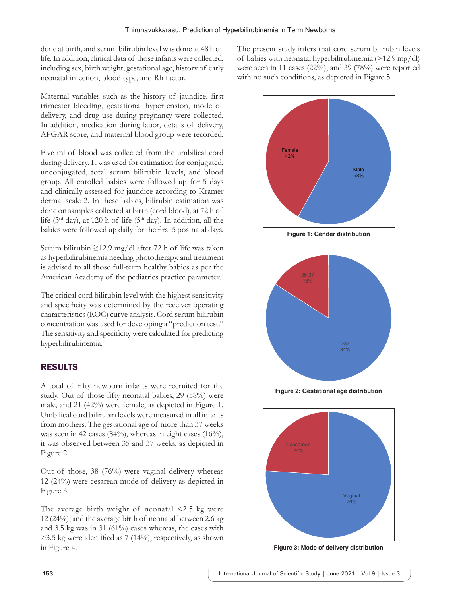done at birth, and serum bilirubin level was done at 48 h of life. In addition, clinical data of those infants were collected, including sex, birth weight, gestational age, history of early neonatal infection, blood type, and Rh factor.

Maternal variables such as the history of jaundice, first trimester bleeding, gestational hypertension, mode of delivery, and drug use during pregnancy were collected. In addition, medication during labor, details of delivery, APGAR score, and maternal blood group were recorded.

Five ml of blood was collected from the umbilical cord during delivery. It was used for estimation for conjugated, unconjugated, total serum bilirubin levels, and blood group. All enrolled babies were followed up for 5 days and clinically assessed for jaundice according to Kramer dermal scale 2. In these babies, bilirubin estimation was done on samples collected at birth (cord blood), at 72 h of life ( $3<sup>rd</sup>$  day), at 120 h of life ( $5<sup>th</sup>$  day). In addition, all the babies were followed up daily for the first 5 postnatal days.

Serum bilirubin ≥12.9 mg/dl after 72 h of life was taken as hyperbilirubinemia needing phototherapy, and treatment is advised to all those full-term healthy babies as per the American Academy of the pediatrics practice parameter.

The critical cord bilirubin level with the highest sensitivity and specificity was determined by the receiver operating characteristics (ROC) curve analysis. Cord serum bilirubin concentration was used for developing a "prediction test." The sensitivity and specificity were calculated for predicting hyperbilirubinemia.

# RESULTS

A total of fifty newborn infants were recruited for the study. Out of those fifty neonatal babies, 29 (58%) were male, and 21 (42%) were female, as depicted in Figure 1. Umbilical cord bilirubin levels were measured in all infants from mothers. The gestational age of more than 37 weeks was seen in 42 cases (84%), whereas in eight cases (16%), it was observed between 35 and 37 weeks, as depicted in Figure 2.

Out of those, 38 (76%) were vaginal delivery whereas 12 (24%) were cesarean mode of delivery as depicted in Figure 3.

The average birth weight of neonatal <2.5 kg were 12 (24%), and the average birth of neonatal between 2.6 kg and 3.5 kg was in 31 (61%) cases whereas, the cases with >3.5 kg were identified as 7 (14%), respectively, as shown in Figure 4.

The present study infers that cord serum bilirubin levels of babies with neonatal hyperbilirubinemia (>12.9 mg/dl) were seen in 11 cases (22%), and 39 (78%) were reported with no such conditions, as depicted in Figure 5.



**Figure 1: Gender distribution**



**Figure 2: Gestational age distribution**



**Figure 3: Mode of delivery distribution**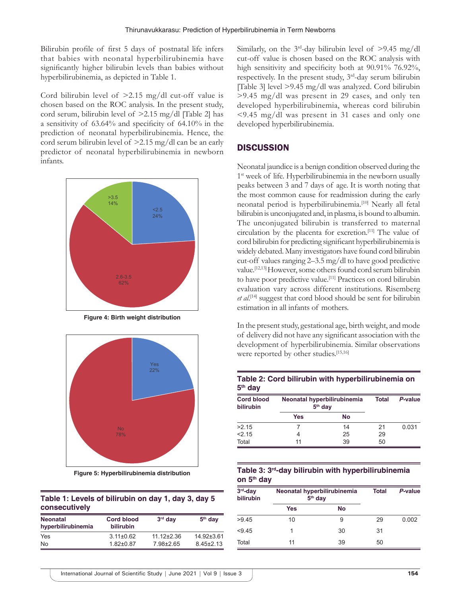Bilirubin profile of first 5 days of postnatal life infers that babies with neonatal hyperbilirubinemia have significantly higher bilirubin levels than babies without hyperbilirubinemia, as depicted in Table 1.

Cord bilirubin level of >2.15 mg/dl cut-off value is chosen based on the ROC analysis. In the present study, cord serum, bilirubin level of >2.15 mg/dl [Table 2] has a sensitivity of 63.64% and specificity of 64.10% in the prediction of neonatal hyperbilirubinemia. Hence, the cord serum bilirubin level of >2.15 mg/dl can be an early predictor of neonatal hyperbilirubinemia in newborn infants.



**Figure 4: Birth weight distribution**



**Figure 5: Hyperbilirubinemia distribution**

## **Table 1: Levels of bilirubin on day 1, day 3, day 5 consecutively**

| <b>Neonatal</b><br>hyperbilirubinemia | <b>Cord blood</b><br><b>bilirubin</b> | $3rd$ day        | $5th$ day       |
|---------------------------------------|---------------------------------------|------------------|-----------------|
| Yes                                   | $3.11 \pm 0.62$                       | $11.12 \pm 2.36$ | $14.92\pm3.61$  |
| No                                    | $1.82 \pm 0.87$                       | $7.98 \pm 2.65$  | $8.45 \pm 2.13$ |

Similarly, on the  $3<sup>rd</sup>$ -day bilirubin level of  $>$ 9.45 mg/dl cut-off value is chosen based on the ROC analysis with high sensitivity and specificity both at 90.91% 76.92%, respectively. In the present study, 3rd-day serum bilirubin [Table 3] level >9.45 mg/dl was analyzed. Cord bilirubin >9.45 mg/dl was present in 29 cases, and only ten developed hyperbilirubinemia, whereas cord bilirubin <9.45 mg/dl was present in 31 cases and only one developed hyperbilirubinemia.

#### **DISCUSSION**

Neonatal jaundice is a benign condition observed during the 1<sup>st</sup> week of life. Hyperbilirubinemia in the newborn usually peaks between 3 and 7 days of age. It is worth noting that the most common cause for readmission during the early neonatal period is hyperbilirubinemia.<sup>[10]</sup> Nearly all fetal bilirubin is unconjugated and, in plasma, is bound to albumin. The unconjugated bilirubin is transferred to maternal circulation by the placenta for excretion.[11] The value of cord bilirubin for predicting significant hyperbilirubinemia is widely debated. Many investigators have found cord bilirubin cut-off values ranging 2–3.5 mg/dl to have good predictive value.[12,13] However, some others found cord serum bilirubin to have poor predictive value.<sup>[11]</sup> Practices on cord bilirubin evaluation vary across different institutions. Risemberg *et al*. [14] suggest that cord blood should be sent for bilirubin estimation in all infants of mothers.

In the present study, gestational age, birth weight, and mode of delivery did not have any significant association with the development of hyperbilirubinemia. Similar observations were reported by other studies.<sup>[15,16]</sup>

#### **Table 2: Cord bilirubin with hyperbilirubinemia on 5th day**

| <b>Cord blood</b><br>bilirubin | Neonatal hyperbilirubinemia<br>$5th$ day |    | Total | P-value |
|--------------------------------|------------------------------------------|----|-------|---------|
|                                | Yes                                      | No |       |         |
| >2.15                          |                                          | 14 | 21    | 0.031   |
| 2.15                           | 4                                        | 25 | 29    |         |
| Total                          | 11                                       | 39 | 50    |         |

#### **Table 3: 3rd-day bilirubin with hyperbilirubinemia on 5th day**

| $3rd$ -day<br>bilirubin | Neonatal hyperbilirubinemia<br>5 <sup>th</sup> day |           | <b>Total</b> | P-value |
|-------------------------|----------------------------------------------------|-----------|--------------|---------|
|                         | Yes                                                | <b>No</b> |              |         |
| >9.45                   | 10                                                 | 9         | 29           | 0.002   |
| < 9.45                  | 1                                                  | 30        | 31           |         |
| Total                   | 11                                                 | 39        | 50           |         |